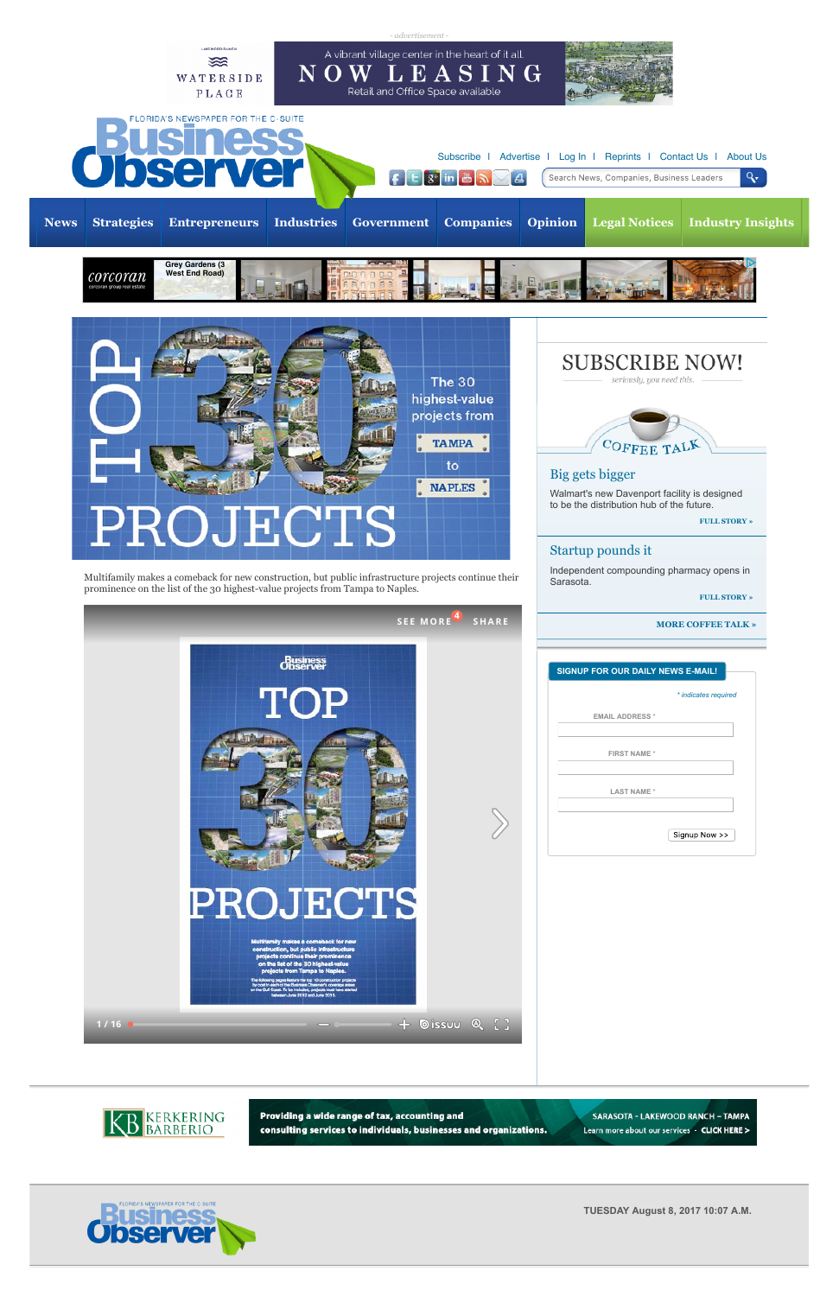Multifamily makes a comeback for new construction, but public infrastructure projects continue their prominence on the list of the 30 highest-value projects from Tampa to Naples.

**FULL STORY »**

**MORE COFFEE TALK »**



| <b>SIGNUP FOR OUR DAILY NEWS E-MAIL!</b> |                      |
|------------------------------------------|----------------------|
|                                          | * indicates required |
| <b>EMAIL ADDRESS *</b>                   |                      |
| <b>FIRST NAME*</b>                       |                      |
|                                          |                      |
| <b>LAST NAME*</b>                        |                      |
|                                          |                      |
|                                          | Signup Now >>        |



Providing a wide range of tax, accounting and consulting services to individuals, businesses and organizations.

SARASOTA - LAKEWOOD RANCH - TAMPA Learn more about our services - CLICK HERE >



## Startup pounds it

Independent compounding pharmacy opens in Sarasota.







**TUESDAY August 8, 2017 10:07 A.M.**